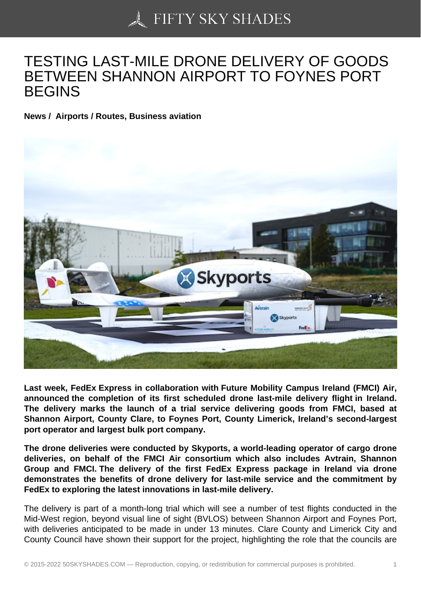## [TESTING LAST-MILE](https://50skyshades.com) DRONE DELIVERY OF GOODS BETWEEN SHANNON AIRPORT TO FOYNES PORT BEGINS

News / Airports / Routes, Business aviation

Last week, FedEx Express in collaboration with Future Mobility Campus Ireland (FMCI) Air, announced the completion of its first scheduled drone last-mile delivery flight in Ireland. The delivery marks the launch of a trial service delivering goods from FMCI, based at Shannon Airport, County Clare, to Foynes Port, County Limerick, Ireland's second-largest port operator and largest bulk port company.

The drone deliveries were conducted by Skyports, a world-leading operator of cargo drone deliveries, on behalf of the FMCI Air consortium which also includes Avtrain, Shannon Group and FMCI. The delivery of the first FedEx Express package in Ireland via drone demonstrates the benefits of drone delivery for last-mile service and the commitment by FedEx to exploring the latest innovations in last-mile delivery.

The delivery is part of a month-long trial which will see a number of test flights conducted in the Mid-West region, beyond visual line of sight (BVLOS) between Shannon Airport and Foynes Port, with deliveries anticipated to be made in under 13 minutes. Clare County and Limerick City and County Council have shown their support for the project, highlighting the role that the councils are